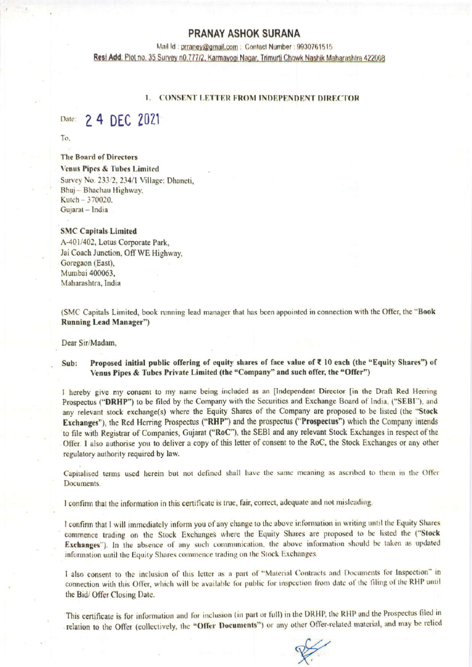## **PRANAY ASHOK SURANA**

Mail Id: prraney@gmail.com : Contact Number : 9930761515 Resi Add: Plot no. 35 Survey n0.777/2, Karmayogi Nagar, Trimurti Chowk Nashik Maharashtra 422008

#### **CONSENT LETTER FROM INDEPENDENT DIRECTOR**

#### 2 4 DEC 2021 Date:

To.

### **The Board of Directors**

Venus Pipes & Tubes Limited Survey No. 233/2, 234/1 Village: Dhaneti, Bhuj - Bhachau Highway, Kutch - 370020.

#### **SMC Capitals Limited**

Gujarat - India

A-401/402, Lotus Corporate Park, Jai Coach Junction, Off WE Highway, Goregaon (East), Mumbai 400063, Maharashtra, India

(SMC Capitals Limited, book running lead manager that has been appointed in connection with the Offer, the "Book **Running Lead Manager")** 

Dear Sir/Madam,

#### Proposed initial public offering of equity shares of face value of  $\xi$  10 each (the "Equity Shares") of Sub: Venus Pipes & Tubes Private Limited (the "Company" and such offer, the "Offer")

I hereby give my consent to my name being included as an [Independent Director [in the Draft Red Herring Prospectus ("DRHP") to be filed by the Company with the Securities and Exchange Board of India. ("SEBI"). and any relevant stock exchange(s) where the Equity Shares of the Company are proposed to be listed (the "Stock Exchanges"), the Red Herring Prospectus ("RHP") and the prospectus ("Prospectus") which the Company intends to file with Registrar of Companies, Gujarat ("RoC"), the SEBI and any relevant Stock Exchanges in respect of the Offer. I also authorise you to deliver a copy of this letter of consent to the RoC, the Stock Exchanges or any other regulatory authority required by law.

Capitalised terms used herein but not defined shall have the same meaning as ascribed to them in the Offer Documents.

I confirm that the information in this certificate is true, fair, correct, adequate and not misleading.

I confirm that I will immediately inform you of any change to the above information in writing until the Equity Shares commence trading on the Stock Exchanges where the Equity Shares are proposed to be listed the ("Stock Exchanges"). In the absence of any such communication, the above information should be taken as updated information until the Equity Shares commence trading on the Stock Exchanges.

I also consent to the inclusion of this letter as a part of "Material Contracts and Documents for Inspection" in connection with this Offer, which will be available for public for inspection from date of the filing of the RHP until the Bid/ Offer Closing Date.

This certificate is for information and for inclusion (in part or full) in the DRHP, the RHP and the Prospectus filed in relation to the Offer (collectively, the "Offer Documents") or any other Offer-related material, and may be relied